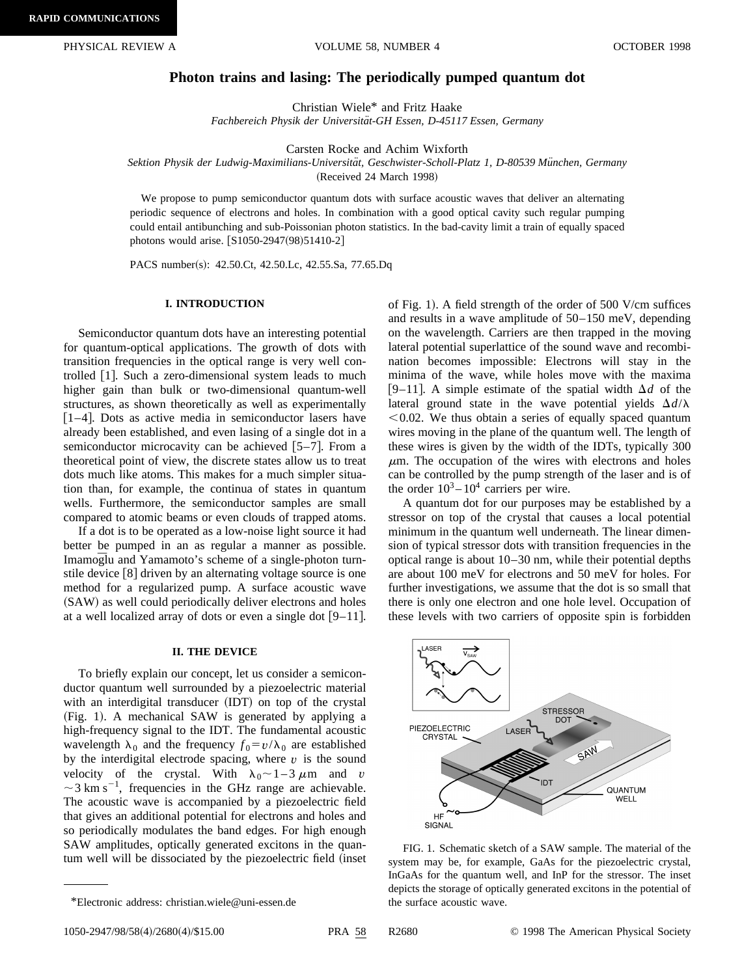# **Photon trains and lasing: The periodically pumped quantum dot**

Christian Wiele\* and Fritz Haake Fachbereich Physik der Universität-GH Essen, D-45117 Essen, Germany

Carsten Rocke and Achim Wixforth

Sektion Physik der Ludwig-Maximilians-Universität, Geschwister-Scholl-Platz 1, D-80539 München, Germany

(Received 24 March 1998)

We propose to pump semiconductor quantum dots with surface acoustic waves that deliver an alternating periodic sequence of electrons and holes. In combination with a good optical cavity such regular pumping could entail antibunching and sub-Poissonian photon statistics. In the bad-cavity limit a train of equally spaced photons would arise.  $[$1050-2947(98)51410-2]$ 

PACS number(s): 42.50.Ct, 42.50.Lc, 42.55.Sa, 77.65.Dq

## **I. INTRODUCTION**

Semiconductor quantum dots have an interesting potential for quantum-optical applications. The growth of dots with transition frequencies in the optical range is very well controlled  $\lceil 1 \rceil$ . Such a zero-dimensional system leads to much higher gain than bulk or two-dimensional quantum-well structures, as shown theoretically as well as experimentally  $[1-4]$ . Dots as active media in semiconductor lasers have already been established, and even lasing of a single dot in a semiconductor microcavity can be achieved  $[5-7]$ . From a theoretical point of view, the discrete states allow us to treat dots much like atoms. This makes for a much simpler situation than, for example, the continua of states in quantum wells. Furthermore, the semiconductor samples are small compared to atomic beams or even clouds of trapped atoms.

If a dot is to be operated as a low-noise light source it had better be pumped in an as regular a manner as possible. Imamoglu and Yamamoto's scheme of a single-photon turnstile device  $[8]$  driven by an alternating voltage source is one method for a regularized pump. A surface acoustic wave  $(SAW)$  as well could periodically deliver electrons and holes at a well localized array of dots or even a single dot  $[9-11]$ .

#### **II. THE DEVICE**

To briefly explain our concept, let us consider a semiconductor quantum well surrounded by a piezoelectric material with an interdigital transducer  $(IDT)$  on top of the crystal  $(Fig. 1)$ . A mechanical SAW is generated by applying a high-frequency signal to the IDT. The fundamental acoustic wavelength  $\lambda_0$  and the frequency  $f_0 = v/\lambda_0$  are established by the interdigital electrode spacing, where *v* is the sound velocity of the crystal. With  $\lambda_0 \sim 1-3 \mu m$  and *v*  $\sim$ 3 km s<sup>-1</sup>, frequencies in the GHz range are achievable. The acoustic wave is accompanied by a piezoelectric field that gives an additional potential for electrons and holes and so periodically modulates the band edges. For high enough SAW amplitudes, optically generated excitons in the quantum well will be dissociated by the piezoelectric field (inset of Fig. 1). A field strength of the order of 500 V/cm suffices and results in a wave amplitude of 50–150 meV, depending on the wavelength. Carriers are then trapped in the moving lateral potential superlattice of the sound wave and recombination becomes impossible: Electrons will stay in the minima of the wave, while holes move with the maxima [9–11]. A simple estimate of the spatial width  $\Delta d$  of the lateral ground state in the wave potential yields  $\Delta d/\lambda$  $< 0.02$ . We thus obtain a series of equally spaced quantum wires moving in the plane of the quantum well. The length of these wires is given by the width of the IDTs, typically 300  $\mu$ m. The occupation of the wires with electrons and holes can be controlled by the pump strength of the laser and is of the order  $10^3 - 10^4$  carriers per wire.

A quantum dot for our purposes may be established by a stressor on top of the crystal that causes a local potential minimum in the quantum well underneath. The linear dimension of typical stressor dots with transition frequencies in the optical range is about 10–30 nm, while their potential depths are about 100 meV for electrons and 50 meV for holes. For further investigations, we assume that the dot is so small that there is only one electron and one hole level. Occupation of these levels with two carriers of opposite spin is forbidden



FIG. 1. Schematic sketch of a SAW sample. The material of the system may be, for example, GaAs for the piezoelectric crystal, InGaAs for the quantum well, and InP for the stressor. The inset depicts the storage of optically generated excitons in the potential of the surface acoustic wave.

<sup>\*</sup>Electronic address: christian.wiele@uni-essen.de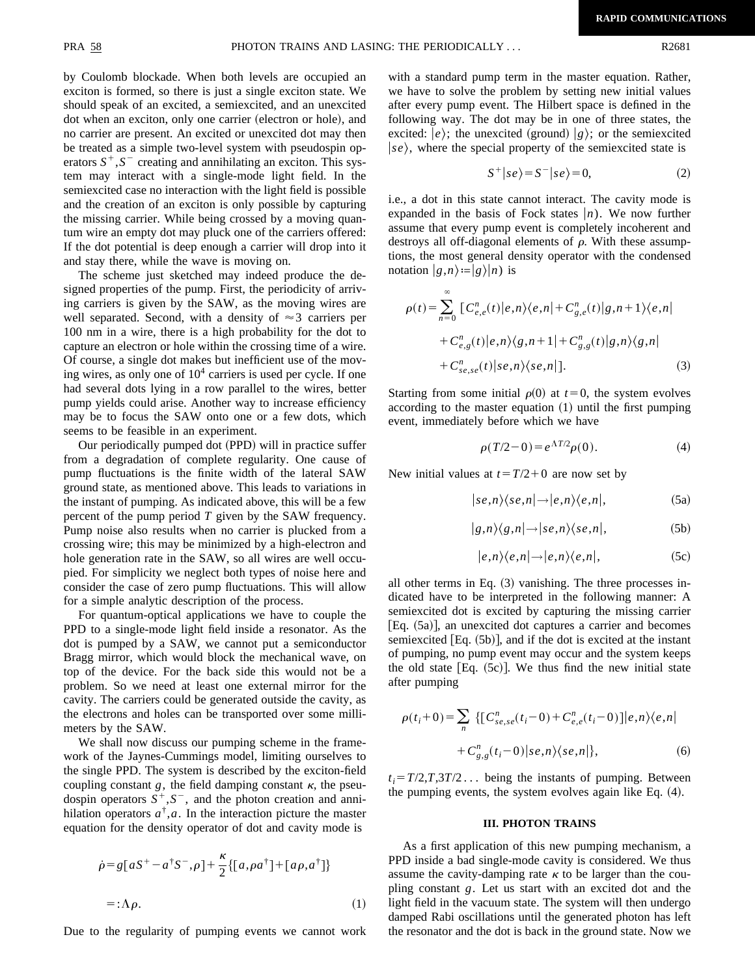by Coulomb blockade. When both levels are occupied an exciton is formed, so there is just a single exciton state. We should speak of an excited, a semiexcited, and an unexcited dot when an exciton, only one carrier (electron or hole), and no carrier are present. An excited or unexcited dot may then be treated as a simple two-level system with pseudospin operators  $S^+, S^-$  creating and annihilating an exciton. This system may interact with a single-mode light field. In the semiexcited case no interaction with the light field is possible and the creation of an exciton is only possible by capturing the missing carrier. While being crossed by a moving quantum wire an empty dot may pluck one of the carriers offered: If the dot potential is deep enough a carrier will drop into it and stay there, while the wave is moving on.

The scheme just sketched may indeed produce the designed properties of the pump. First, the periodicity of arriving carriers is given by the SAW, as the moving wires are well separated. Second, with a density of  $\approx$  3 carriers per 100 nm in a wire, there is a high probability for the dot to capture an electron or hole within the crossing time of a wire. Of course, a single dot makes but inefficient use of the moving wires, as only one of  $10<sup>4</sup>$  carriers is used per cycle. If one had several dots lying in a row parallel to the wires, better pump yields could arise. Another way to increase efficiency may be to focus the SAW onto one or a few dots, which seems to be feasible in an experiment.

Our periodically pumped dot (PPD) will in practice suffer from a degradation of complete regularity. One cause of pump fluctuations is the finite width of the lateral SAW ground state, as mentioned above. This leads to variations in the instant of pumping. As indicated above, this will be a few percent of the pump period *T* given by the SAW frequency. Pump noise also results when no carrier is plucked from a crossing wire; this may be minimized by a high-electron and hole generation rate in the SAW, so all wires are well occupied. For simplicity we neglect both types of noise here and consider the case of zero pump fluctuations. This will allow for a simple analytic description of the process.

For quantum-optical applications we have to couple the PPD to a single-mode light field inside a resonator. As the dot is pumped by a SAW, we cannot put a semiconductor Bragg mirror, which would block the mechanical wave, on top of the device. For the back side this would not be a problem. So we need at least one external mirror for the cavity. The carriers could be generated outside the cavity, as the electrons and holes can be transported over some millimeters by the SAW.

We shall now discuss our pumping scheme in the framework of the Jaynes-Cummings model, limiting ourselves to the single PPD. The system is described by the exciton-field coupling constant  $g$ , the field damping constant  $\kappa$ , the pseudospin operators  $S^+, S^-$ , and the photon creation and annihilation operators  $a^{\dagger}, a$ . In the interaction picture the master equation for the density operator of dot and cavity mode is

$$
\dot{\rho} = g[aS^+ - a^{\dagger}S^-, \rho] + \frac{\kappa}{2} \{ [a, \rho a^{\dagger}] + [a\rho, a^{\dagger}] \}
$$
  
= :  $\Lambda \rho$ . (1)

Due to the regularity of pumping events we cannot work

with a standard pump term in the master equation. Rather, we have to solve the problem by setting new initial values after every pump event. The Hilbert space is defined in the following way. The dot may be in one of three states, the excited:  $|e\rangle$ ; the unexcited (ground)  $|g\rangle$ ; or the semiexcited  $|se\rangle$ , where the special property of the semiexcited state is

$$
S^+|se\rangle = S^-|se\rangle = 0,\tag{2}
$$

i.e., a dot in this state cannot interact. The cavity mode is expanded in the basis of Fock states  $|n\rangle$ . We now further assume that every pump event is completely incoherent and destroys all off-diagonal elements of  $\rho$ . With these assumptions, the most general density operator with the condensed notation  $|g,n\rangle := |g\rangle|n\rangle$  is

$$
\rho(t) = \sum_{n=0}^{\infty} \left[ C_{e,e}^{n}(t) | e, n \rangle \langle e, n | + C_{g,e}^{n}(t) | g, n + 1 \rangle \langle e, n | + C_{e,g}^{n}(t) | e, n \rangle \langle g, n + 1 | + C_{g,g}^{n}(t) | g, n \rangle \langle g, n | + C_{g,e,s}^{n}(t) | s e, n \rangle \langle s e, n | ]. \tag{3}
$$

Starting from some initial  $\rho(0)$  at  $t=0$ , the system evolves according to the master equation  $(1)$  until the first pumping event, immediately before which we have

$$
\rho(T/2 - 0) = e^{\Lambda T/2} \rho(0). \tag{4}
$$

New initial values at  $t = T/2+0$  are now set by

$$
|se,n\rangle\langle se,n|\rightarrow|e,n\rangle\langle e,n|,
$$
 (5a)

$$
|g,n\rangle\langle g,n|\rightarrow|se,n\rangle\langle se,n|,
$$
 (5b)

$$
|e,n\rangle\langle e,n|\rightarrow|e,n\rangle\langle e,n|,\tag{5c}
$$

all other terms in Eq.  $(3)$  vanishing. The three processes indicated have to be interpreted in the following manner: A semiexcited dot is excited by capturing the missing carrier [Eq.  $(5a)$ ], an unexcited dot captures a carrier and becomes semiexcited  $[Eq. (5b)]$ , and if the dot is excited at the instant of pumping, no pump event may occur and the system keeps the old state  $[Eq. (5c)]$ . We thus find the new initial state after pumping

$$
\rho(t_i+0) = \sum_{n} \{ [C_{se,se}^n(t_i-0) + C_{e,e}^n(t_i-0)] | e, n \rangle \langle e, n |
$$
  
+  $C_{g,g}^n(t_i-0) | se, n \rangle \langle se, n | \},$  (6)

 $t_i = T/2, T, 3T/2$ ... being the instants of pumping. Between the pumping events, the system evolves again like Eq.  $(4)$ .

### **III. PHOTON TRAINS**

As a first application of this new pumping mechanism, a PPD inside a bad single-mode cavity is considered. We thus assume the cavity-damping rate  $\kappa$  to be larger than the coupling constant *g*. Let us start with an excited dot and the light field in the vacuum state. The system will then undergo damped Rabi oscillations until the generated photon has left the resonator and the dot is back in the ground state. Now we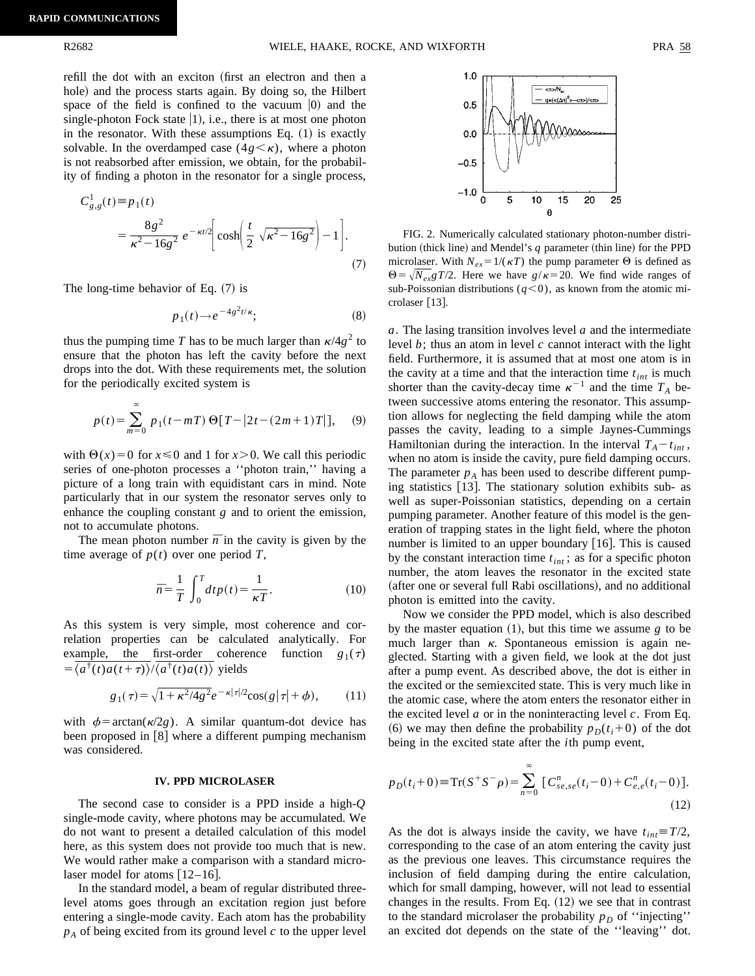refill the dot with an exciton (first an electron and then a hole) and the process starts again. By doing so, the Hilbert space of the field is confined to the vacuum  $|0\rangle$  and the single-photon Fock state  $|1\rangle$ , i.e., there is at most one photon in the resonator. With these assumptions Eq.  $(1)$  is exactly solvable. In the overdamped case  $(4g<\kappa)$ , where a photon is not reabsorbed after emission, we obtain, for the probability of finding a photon in the resonator for a single process,

$$
C_{g,g}^{1}(t) \equiv p_1(t)
$$
  
=  $\frac{8g^2}{\kappa^2 - 16g^2} e^{-\kappa t/2} \left[ \cosh \left( \frac{t}{2} \sqrt{\kappa^2 - 16g^2} \right) - 1 \right].$  (7)

The long-time behavior of Eq.  $(7)$  is

$$
p_1(t) \to e^{-4g^2t/\kappa};\tag{8}
$$

thus the pumping time *T* has to be much larger than  $\kappa/4g^2$  to ensure that the photon has left the cavity before the next drops into the dot. With these requirements met, the solution for the periodically excited system is

$$
p(t) = \sum_{m=0}^{\infty} p_1(t - mT) \Theta[T - |2t - (2m + 1)T|], \quad (9)
$$

with  $\Theta(x)=0$  for  $x \le 0$  and 1 for  $x>0$ . We call this periodic series of one-photon processes a ''photon train,'' having a picture of a long train with equidistant cars in mind. Note particularly that in our system the resonator serves only to enhance the coupling constant *g* and to orient the emission, not to accumulate photons.

The mean photon number  $\bar{n}$  in the cavity is given by the time average of  $p(t)$  over one period  $T$ ,

$$
\bar{n} = \frac{1}{T} \int_0^T dt p(t) = \frac{1}{\kappa T}.
$$
 (10)

As this system is very simple, most coherence and correlation properties can be calculated analytically. For example, the first-order coherence function  $g_1(\tau)$  $=\langle a^{\dagger}(t)a(t+\tau)\rangle/\langle a^{\dagger}(t)a(t)\rangle$  yields

$$
g_1(\tau) = \sqrt{1 + \kappa^2/4g^2} e^{-\kappa |\tau|/2} \cos(g|\tau| + \phi), \quad (11)
$$

with  $\phi = \arctan(\kappa/2g)$ . A similar quantum-dot device has been proposed in  $[8]$  where a different pumping mechanism was considered.

#### **IV. PPD MICROLASER**

The second case to consider is a PPD inside a high-*Q* single-mode cavity, where photons may be accumulated. We do not want to present a detailed calculation of this model here, as this system does not provide too much that is new. We would rather make a comparison with a standard microlaser model for atoms  $[12–16]$ .

In the standard model, a beam of regular distributed threelevel atoms goes through an excitation region just before entering a single-mode cavity. Each atom has the probability *pA* of being excited from its ground level *c* to the upper level



FIG. 2. Numerically calculated stationary photon-number distribution (thick line) and Mendel's  $q$  parameter (thin line) for the PPD microlaser. With  $N_{ex} = 1/(\kappa T)$  the pump parameter  $\Theta$  is defined as  $\Theta = \sqrt{N_{ex}gT/2}$ . Here we have  $g/\kappa = 20$ . We find wide ranges of sub-Poissonian distributions ( $q<0$ ), as known from the atomic microlaser  $[13]$ .

*a*. The lasing transition involves level *a* and the intermediate level *b*; thus an atom in level *c* cannot interact with the light field. Furthermore, it is assumed that at most one atom is in the cavity at a time and that the interaction time  $t_{int}$  is much shorter than the cavity-decay time  $\kappa^{-1}$  and the time  $T_A$  between successive atoms entering the resonator. This assumption allows for neglecting the field damping while the atom passes the cavity, leading to a simple Jaynes-Cummings Hamiltonian during the interaction. In the interval  $T_A - t_{int}$ , when no atom is inside the cavity, pure field damping occurs. The parameter  $p_A$  has been used to describe different pumping statistics [13]. The stationary solution exhibits sub- as well as super-Poissonian statistics, depending on a certain pumping parameter. Another feature of this model is the generation of trapping states in the light field, where the photon number is limited to an upper boundary  $[16]$ . This is caused by the constant interaction time  $t_{int}$ ; as for a specific photon number, the atom leaves the resonator in the excited state (after one or several full Rabi oscillations), and no additional photon is emitted into the cavity.

Now we consider the PPD model, which is also described by the master equation  $(1)$ , but this time we assume *g* to be much larger than  $\kappa$ . Spontaneous emission is again neglected. Starting with a given field, we look at the dot just after a pump event. As described above, the dot is either in the excited or the semiexcited state. This is very much like in the atomic case, where the atom enters the resonator either in the excited level *a* or in the noninteracting level *c*. From Eq. (6) we may then define the probability  $p_D(t_i+0)$  of the dot being in the excited state after the *i*th pump event,

$$
p_D(t_i+0) \equiv \operatorname{Tr}(S^+S^- \rho) = \sum_{n=0}^{\infty} \left[ C_{se,se}^n(t_i-0) + C_{e,e}^n(t_i-0) \right].
$$
\n(12)

As the dot is always inside the cavity, we have  $t_{int} \equiv T/2$ , corresponding to the case of an atom entering the cavity just as the previous one leaves. This circumstance requires the inclusion of field damping during the entire calculation, which for small damping, however, will not lead to essential changes in the results. From Eq.  $(12)$  we see that in contrast to the standard microlaser the probability  $p<sub>D</sub>$  of "injecting" an excited dot depends on the state of the ''leaving'' dot.